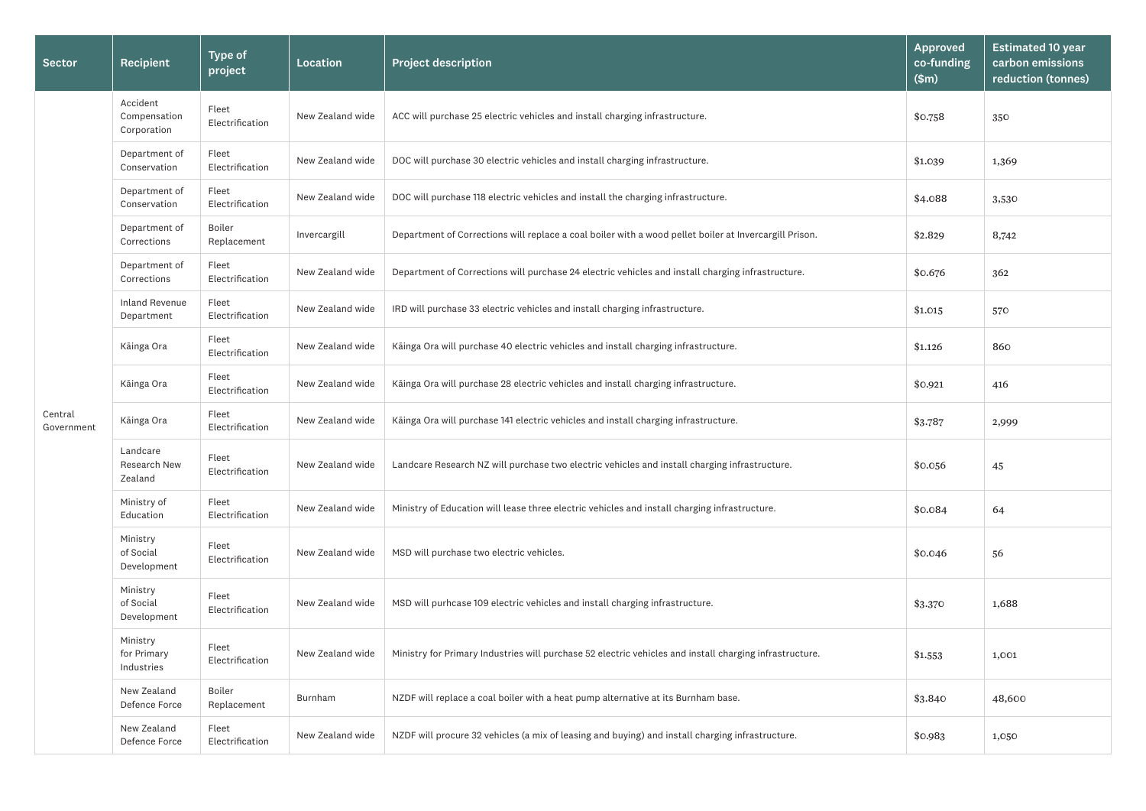|           | <b>Approved</b><br>co-funding<br>(\$m) | <b>Estimated 10 year</b><br>carbon emissions<br>reduction (tonnes) |
|-----------|----------------------------------------|--------------------------------------------------------------------|
|           | \$0.758                                | 350                                                                |
|           | \$1.039                                | 1,369                                                              |
|           | \$4.088                                | 3,530                                                              |
| l Prison. | \$2.829                                | 8,742                                                              |
| cture.    | \$0.676                                | 362                                                                |
|           | \$1.015                                | 570                                                                |
|           | \$1.126                                | 860                                                                |
|           | \$0.921                                | 416                                                                |
|           | \$3.787                                | 2,999                                                              |
| re.       | \$0.056                                | 45                                                                 |
|           | \$0.084                                | 64                                                                 |
|           | \$0.046                                | 56                                                                 |
|           | \$3.370                                | 1,688                                                              |
| tructure. | \$1.553                                | 1,001                                                              |
|           | \$3.840                                | 48,600                                                             |
| ure.      | \$0.983                                | 1,050                                                              |

| Sector                | Recipient                                  | <b>Type of</b><br>project | <b>Location</b>  | <b>Project description</b>                                                                              | <b>Approved</b><br>co-funding<br>\$m\$ | <b>Estima</b><br>carbor<br>reduct |
|-----------------------|--------------------------------------------|---------------------------|------------------|---------------------------------------------------------------------------------------------------------|----------------------------------------|-----------------------------------|
|                       | Accident<br>Compensation<br>Corporation    | Fleet<br>Electrification  | New Zealand wide | ACC will purchase 25 electric vehicles and install charging infrastructure.                             | \$0.758                                | 350                               |
|                       | Department of<br>Conservation              | Fleet<br>Electrification  | New Zealand wide | DOC will purchase 30 electric vehicles and install charging infrastructure.                             | \$1.039                                | 1,369                             |
|                       | Department of<br>Conservation              | Fleet<br>Electrification  | New Zealand wide | DOC will purchase 118 electric vehicles and install the charging infrastructure.                        | \$4.088                                | 3,530                             |
|                       | Department of<br>Corrections               | Boiler<br>Replacement     | Invercargill     | Department of Corrections will replace a coal boiler with a wood pellet boiler at Invercargill Prison.  | \$2.829                                | 8,742                             |
|                       | Department of<br>Corrections               | Fleet<br>Electrification  | New Zealand wide | Department of Corrections will purchase 24 electric vehicles and install charging infrastructure.       | \$0.676                                | 362                               |
|                       | <b>Inland Revenue</b><br>Department        | Fleet<br>Electrification  | New Zealand wide | IRD will purchase 33 electric vehicles and install charging infrastructure.                             | \$1.015                                | 570                               |
|                       | Kāinga Ora                                 | Fleet<br>Electrification  | New Zealand wide | Käinga Ora will purchase 40 electric vehicles and install charging infrastructure.                      | \$1.126                                | 860                               |
|                       | Kāinga Ora                                 | Fleet<br>Electrification  | New Zealand wide | Käinga Ora will purchase 28 electric vehicles and install charging infrastructure.                      | \$0.921                                | 416                               |
| Central<br>Government | Kāinga Ora                                 | Fleet<br>Electrification  | New Zealand wide | Käinga Ora will purchase 141 electric vehicles and install charging infrastructure.                     | \$3.787                                | 2,999                             |
|                       | Landcare<br><b>Research New</b><br>Zealand | Fleet<br>Electrification  | New Zealand wide | Landcare Research NZ will purchase two electric vehicles and install charging infrastructure.           | \$0.056                                | 45                                |
|                       | Ministry of<br>Education                   | Fleet<br>Electrification  | New Zealand wide | Ministry of Education will lease three electric vehicles and install charging infrastructure.           | \$0.084                                | 64                                |
|                       | Ministry<br>of Social<br>Development       | Fleet<br>Electrification  | New Zealand wide | MSD will purchase two electric vehicles.                                                                | \$0.046                                | 56                                |
|                       | Ministry<br>of Social<br>Development       | Fleet<br>Electrification  | New Zealand wide | MSD will purhcase 109 electric vehicles and install charging infrastructure.                            | \$3.370                                | 1,688                             |
|                       | Ministry<br>for Primary<br>Industries      | Fleet<br>Electrification  | New Zealand wide | Ministry for Primary Industries will purchase 52 electric vehicles and install charging infrastructure. | \$1.553                                | 1,001                             |
|                       | New Zealand<br>Defence Force               | Boiler<br>Replacement     | Burnham          | NZDF will replace a coal boiler with a heat pump alternative at its Burnham base.                       | \$3.840                                | 48,60C                            |
|                       | New Zealand<br>Defence Force               | Fleet<br>Electrification  | New Zealand wide | NZDF will procure 32 vehicles (a mix of leasing and buying) and install charging infrastructure.        | \$0.983                                | 1,050                             |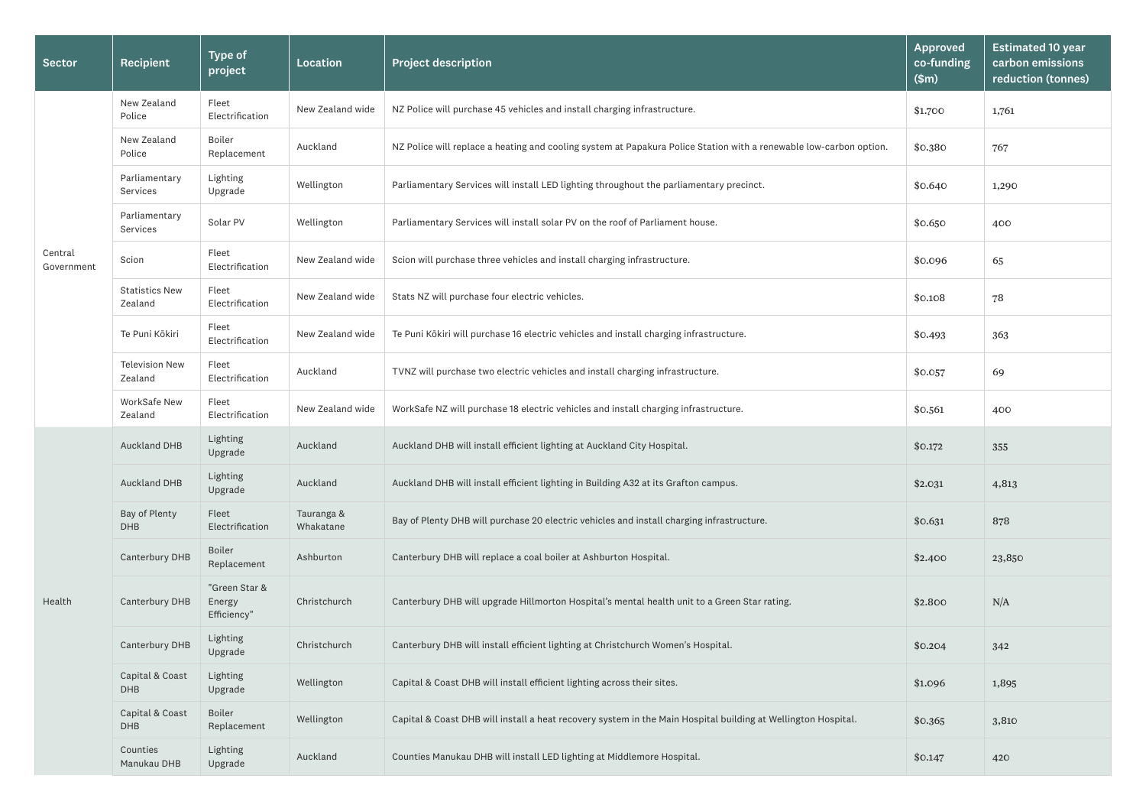|        | <b>Approved</b><br>co-funding<br>\$m\$ | <b>Estimated 10 year</b><br>carbon emissions<br>reduction (tonnes) |
|--------|----------------------------------------|--------------------------------------------------------------------|
|        | \$1.700                                | 1,761                                                              |
| otion. | \$0.380                                | 767                                                                |
|        | \$0.640                                | 1,290                                                              |
|        | \$0.650                                | 400                                                                |
|        | \$0.096                                | 65                                                                 |
|        | \$0.108                                | 78                                                                 |
|        | \$0.493                                | 363                                                                |
|        | \$0.057                                | 69                                                                 |
|        | \$0.561                                | 400                                                                |
|        | \$0.172                                | 355                                                                |
|        | \$2.031                                | 4,813                                                              |
|        | \$0.631                                | 878                                                                |
|        | \$2.400                                | 23,850                                                             |
|        | \$2.800                                | N/A                                                                |
|        | \$0.204                                | 342                                                                |
|        | \$1.096                                | 1,895                                                              |
|        | \$0.365                                | 3,810                                                              |
|        | \$0.147                                | 420                                                                |

| <b>Sector</b>         | Recipient                        | <b>Type of</b><br>project              | Location                | <b>Project description</b>                                                                                         | <b>Approved</b><br>co-funding<br>\$m\$ | <b>Estim</b><br>carbo<br>reduc |
|-----------------------|----------------------------------|----------------------------------------|-------------------------|--------------------------------------------------------------------------------------------------------------------|----------------------------------------|--------------------------------|
| Central<br>Government | New Zealand<br>Police            | Fleet<br>Electrification               | New Zealand wide        | NZ Police will purchase 45 vehicles and install charging infrastructure.                                           | \$1.700                                | 1,761                          |
|                       | New Zealand<br>Police            | Boiler<br>Replacement                  | Auckland                | NZ Police will replace a heating and cooling system at Papakura Police Station with a renewable low-carbon option. | \$0.380                                | 767                            |
|                       | Parliamentary<br>Services        | Lighting<br>Upgrade                    | Wellington              | Parliamentary Services will install LED lighting throughout the parliamentary precinct.                            | \$0.640                                | 1,290                          |
|                       | Parliamentary<br>Services        | Solar PV                               | Wellington              | Parliamentary Services will install solar PV on the roof of Parliament house.                                      | \$0.650                                | 400                            |
|                       | Scion                            | Fleet<br>Electrification               | New Zealand wide        | Scion will purchase three vehicles and install charging infrastructure.                                            | \$0.096                                | 65                             |
|                       | <b>Statistics New</b><br>Zealand | Fleet<br>Electrification               | New Zealand wide        | Stats NZ will purchase four electric vehicles.                                                                     | \$0.108                                | 78                             |
|                       | Te Puni Kōkiri                   | Fleet<br>Electrification               | New Zealand wide        | Te Puni Kōkiri will purchase 16 electric vehicles and install charging infrastructure.                             | \$0.493                                | 363                            |
|                       | <b>Television New</b><br>Zealand | Fleet<br>Electrification               | Auckland                | TVNZ will purchase two electric vehicles and install charging infrastructure.                                      | \$0.057                                | 69                             |
|                       | WorkSafe New<br>Zealand          | Fleet<br>Electrification               | New Zealand wide        | WorkSafe NZ will purchase 18 electric vehicles and install charging infrastructure.                                | \$0.561                                | 400                            |
|                       | Auckland DHB                     | Lighting<br>Upgrade                    | Auckland                | Auckland DHB will install efficient lighting at Auckland City Hospital.                                            | \$0.172                                | 355                            |
|                       | Auckland DHB                     | Lighting<br>Upgrade                    | Auckland                | Auckland DHB will install efficient lighting in Building A32 at its Grafton campus.                                | \$2.031                                | 4,813                          |
|                       | Bay of Plenty<br><b>DHB</b>      | Fleet<br>Electrification               | Tauranga &<br>Whakatane | Bay of Plenty DHB will purchase 20 electric vehicles and install charging infrastructure.                          | \$0.631                                | 878                            |
|                       | Canterbury DHB                   | <b>Boiler</b><br>Replacement           | Ashburton               | Canterbury DHB will replace a coal boiler at Ashburton Hospital.                                                   | \$2.400                                | 23,850                         |
| Health                | Canterbury DHB                   | "Green Star &<br>Energy<br>Efficiency" | Christchurch            | Canterbury DHB will upgrade Hillmorton Hospital's mental health unit to a Green Star rating.                       | \$2.800                                | N/A                            |
|                       | Canterbury DHB                   | Lighting<br>Upgrade                    | Christchurch            | Canterbury DHB will install efficient lighting at Christchurch Women's Hospital.                                   | \$0.204                                | 342                            |
|                       | Capital & Coast<br><b>DHB</b>    | Lighting<br>Upgrade                    | Wellington              | Capital & Coast DHB will install efficient lighting across their sites.                                            | \$1.096                                | 1,895                          |
|                       | Capital & Coast<br><b>DHB</b>    | <b>Boiler</b><br>Replacement           | Wellington              | Capital & Coast DHB will install a heat recovery system in the Main Hospital building at Wellington Hospital.      | \$0.365                                | 3,810                          |
|                       | Counties<br>Manukau DHB          | Lighting<br>Upgrade                    | Auckland                | Counties Manukau DHB will install LED lighting at Middlemore Hospital.                                             | \$0.147                                | 420                            |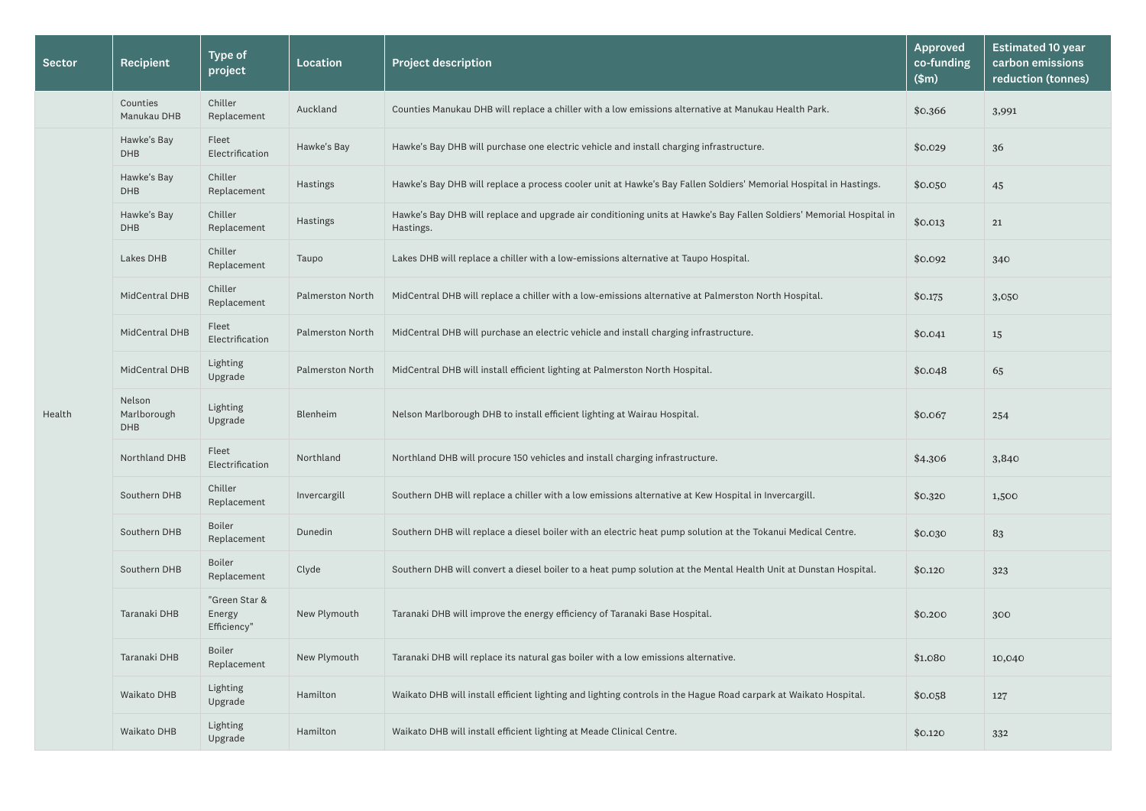| <b>Sector</b> | Recipient                           | <b>Type of</b><br>project              | <b>Location</b>         | <b>Project description</b>                                                                                                        | Approved<br>co-funding<br>\$m\$ | <b>Estim</b><br>carbo<br>reduc |
|---------------|-------------------------------------|----------------------------------------|-------------------------|-----------------------------------------------------------------------------------------------------------------------------------|---------------------------------|--------------------------------|
|               | Counties<br>Manukau DHB             | Chiller<br>Replacement                 | Auckland                | Counties Manukau DHB will replace a chiller with a low emissions alternative at Manukau Health Park.                              | \$0.366                         | 3,991                          |
|               | Hawke's Bay<br><b>DHB</b>           | Fleet<br>Electrification               | Hawke's Bay             | Hawke's Bay DHB will purchase one electric vehicle and install charging infrastructure.                                           | \$0.029                         | 36                             |
|               | Hawke's Bay<br><b>DHB</b>           | Chiller<br>Replacement                 | Hastings                | Hawke's Bay DHB will replace a process cooler unit at Hawke's Bay Fallen Soldiers' Memorial Hospital in Hastings.                 | \$0.050                         | 45                             |
|               | Hawke's Bay<br><b>DHB</b>           | Chiller<br>Replacement                 | Hastings                | Hawke's Bay DHB will replace and upgrade air conditioning units at Hawke's Bay Fallen Soldiers' Memorial Hospital in<br>Hastings. | \$0.013                         | 21                             |
|               | Lakes DHB                           | Chiller<br>Replacement                 | Taupo                   | Lakes DHB will replace a chiller with a low-emissions alternative at Taupo Hospital.                                              | \$0.092                         | 340                            |
|               | MidCentral DHB                      | Chiller<br>Replacement                 | <b>Palmerston North</b> | MidCentral DHB will replace a chiller with a low-emissions alternative at Palmerston North Hospital.                              | \$0.175                         | 3,050                          |
| Health        | MidCentral DHB                      | Fleet<br>Electrification               | <b>Palmerston North</b> | MidCentral DHB will purchase an electric vehicle and install charging infrastructure.                                             | \$0.041                         | 15                             |
|               | MidCentral DHB                      | Lighting<br>Upgrade                    | <b>Palmerston North</b> | MidCentral DHB will install efficient lighting at Palmerston North Hospital.                                                      | \$0.048                         | 65                             |
|               | Nelson<br>Marlborough<br><b>DHB</b> | Lighting<br>Upgrade                    | Blenheim                | Nelson Marlborough DHB to install efficient lighting at Wairau Hospital.                                                          | \$0.067                         | 254                            |
|               | Northland DHB                       | Fleet<br>Electrification               | Northland               | Northland DHB will procure 150 vehicles and install charging infrastructure.                                                      | \$4.306                         | 3,840                          |
|               | Southern DHB                        | Chiller<br>Replacement                 | Invercargill            | Southern DHB will replace a chiller with a low emissions alternative at Kew Hospital in Invercargill.                             | \$0.320                         | 1,500                          |
|               | Southern DHB                        | Boiler<br>Replacement                  | Dunedin                 | Southern DHB will replace a diesel boiler with an electric heat pump solution at the Tokanui Medical Centre.                      | \$0.030                         | 83                             |
|               | Southern DHB                        | Boiler<br>Replacement                  | Clyde                   | Southern DHB will convert a diesel boiler to a heat pump solution at the Mental Health Unit at Dunstan Hospital.                  | \$0.120                         | 323                            |
|               | Taranaki DHB                        | "Green Star &<br>Energy<br>Efficiency" | New Plymouth            | Taranaki DHB will improve the energy efficiency of Taranaki Base Hospital.                                                        | \$0.200                         | 300                            |
|               | Taranaki DHB                        | Boiler<br>Replacement                  | New Plymouth            | Taranaki DHB will replace its natural gas boiler with a low emissions alternative.                                                | \$1.080                         | 10,04C                         |
|               | Waikato DHB                         | Lighting<br>Upgrade                    | Hamilton                | Waikato DHB will install efficient lighting and lighting controls in the Hague Road carpark at Waikato Hospital.                  | \$0.058                         | 127                            |
|               | Waikato DHB                         | Lighting<br>Upgrade                    | Hamilton                | Waikato DHB will install efficient lighting at Meade Clinical Centre.                                                             | \$0.120                         | 332                            |

|          | <b>Approved</b><br>co-funding<br>\$m\$ | <b>Estimated 10 year</b><br>carbon emissions<br>reduction (tonnes) |
|----------|----------------------------------------|--------------------------------------------------------------------|
|          | \$0.366                                | 3,991                                                              |
|          | \$0.029                                | 36                                                                 |
| າgs.     | \$0.050                                | 45                                                                 |
| pital in | \$0.013                                | 21                                                                 |
|          | \$0.092                                | 340                                                                |
|          | \$0.175                                | 3,050                                                              |
|          | \$0.041                                | 15                                                                 |
|          | \$0.048                                | 65                                                                 |
|          | \$0.067                                | 254                                                                |
|          | \$4.306                                | 3,840                                                              |
|          | \$0.320                                | 1,500                                                              |
|          | \$0.030                                | 83                                                                 |
| al.      | \$0.120                                | 323                                                                |
|          | \$0.200                                | 300                                                                |
|          | \$1.080                                | 10,040                                                             |
|          | \$0.058                                | 127                                                                |
|          | \$0.120                                | 332                                                                |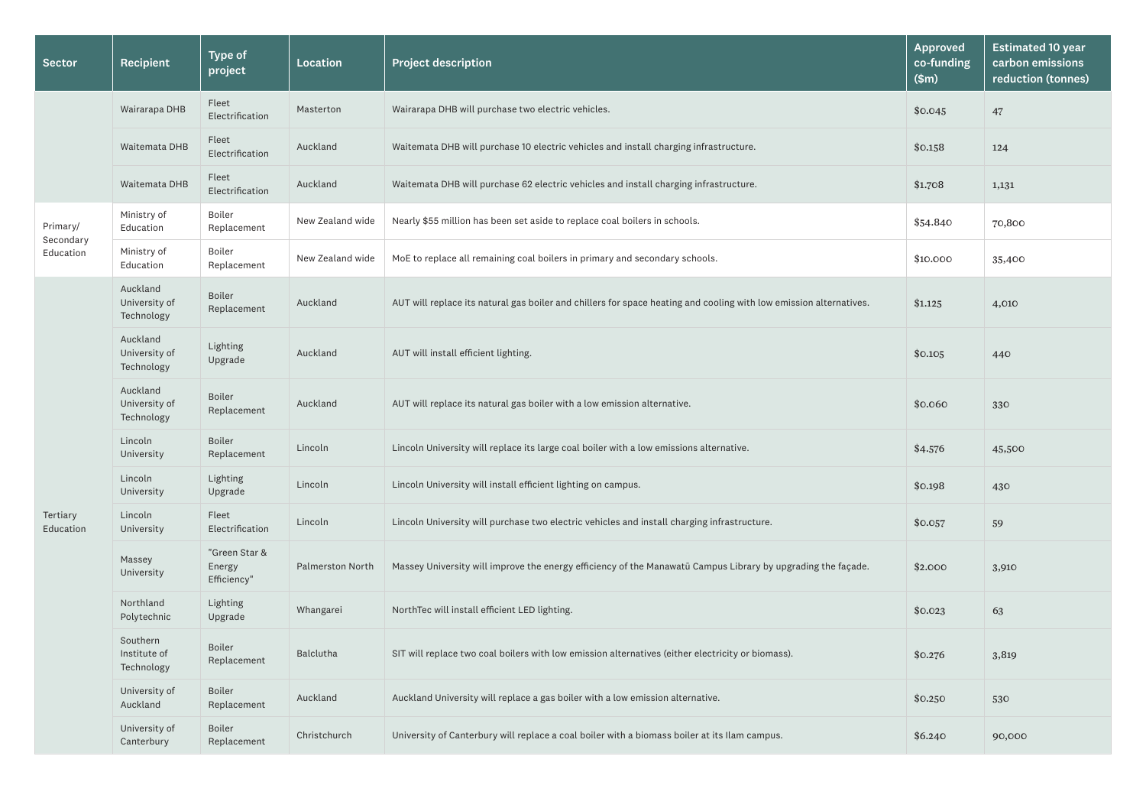| <b>Sector</b>                      | Recipient                               | <b>Type of</b><br>project              | Location                | <b>Project description</b>                                                                                         | <b>Approved</b><br>co-funding<br>\$m\$ | <b>Estima</b><br>carbor<br>reduct |
|------------------------------------|-----------------------------------------|----------------------------------------|-------------------------|--------------------------------------------------------------------------------------------------------------------|----------------------------------------|-----------------------------------|
|                                    | Wairarapa DHB                           | Fleet<br>Electrification               | Masterton               | Wairarapa DHB will purchase two electric vehicles.                                                                 | \$0.045                                | 47                                |
|                                    | Waitemata DHB                           | Fleet<br>Electrification               | Auckland                | Waitemata DHB will purchase 10 electric vehicles and install charging infrastructure.                              | \$0.158                                | 124                               |
|                                    | Waitemata DHB                           | Fleet<br>Electrification               | Auckland                | Waitemata DHB will purchase 62 electric vehicles and install charging infrastructure.                              | \$1.708                                | 1,131                             |
| Primary/<br>Secondary<br>Education | Ministry of<br>Education                | Boiler<br>Replacement                  | New Zealand wide        | Nearly \$55 million has been set aside to replace coal boilers in schools.                                         | \$54.840                               | 70,800                            |
|                                    | Ministry of<br>Education                | Boiler<br>Replacement                  | New Zealand wide        | MoE to replace all remaining coal boilers in primary and secondary schools.                                        | \$10.000                               | 35,400                            |
|                                    | Auckland<br>University of<br>Technology | <b>Boiler</b><br>Replacement           | Auckland                | AUT will replace its natural gas boiler and chillers for space heating and cooling with low emission alternatives. | \$1.125                                | 4,010                             |
|                                    | Auckland<br>University of<br>Technology | Lighting<br>Upgrade                    | Auckland                | AUT will install efficient lighting.                                                                               | \$0.105                                | 440                               |
|                                    | Auckland<br>University of<br>Technology | <b>Boiler</b><br>Replacement           | Auckland                | AUT will replace its natural gas boiler with a low emission alternative.                                           | \$0.060                                | 330                               |
|                                    | Lincoln<br>University                   | <b>Boiler</b><br>Replacement           | Lincoln                 | Lincoln University will replace its large coal boiler with a low emissions alternative.                            | \$4.576                                | 45,500                            |
|                                    | Lincoln<br>University                   | Lighting<br>Upgrade                    | Lincoln                 | Lincoln University will install efficient lighting on campus.                                                      | \$0.198                                | 430                               |
| Tertiary<br>Education              | Lincoln<br>University                   | Fleet<br>Electrification               | Lincoln                 | Lincoln University will purchase two electric vehicles and install charging infrastructure.                        | \$0.057                                | 59                                |
|                                    | Massey<br>University                    | "Green Star &<br>Energy<br>Efficiency" | <b>Palmerston North</b> | Massey University will improve the energy efficiency of the Manawatū Campus Library by upgrading the façade.       | \$2.000                                | 3,910                             |
|                                    | Northland<br>Polytechnic                | Lighting<br>Upgrade                    | Whangarei               | NorthTec will install efficient LED lighting.                                                                      | \$0.023                                | 63                                |
|                                    | Southern<br>Institute of<br>Technology  | <b>Boiler</b><br>Replacement           | Balclutha               | SIT will replace two coal boilers with low emission alternatives (either electricity or biomass).                  | \$0.276                                | 3,819                             |
|                                    | University of<br>Auckland               | <b>Boiler</b><br>Replacement           | Auckland                | Auckland University will replace a gas boiler with a low emission alternative.                                     | \$0.250                                | 530                               |
|                                    | University of<br>Canterbury             | <b>Boiler</b><br>Replacement           | Christchurch            | University of Canterbury will replace a coal boiler with a biomass boiler at its Ilam campus.                      | \$6.240                                | 90,000                            |

| <b>Approved</b><br>co-funding<br>\$m\$ | <b>Estimated 10 year</b><br>carbon emissions<br>reduction (tonnes) |
|----------------------------------------|--------------------------------------------------------------------|
| \$0.045                                | 47                                                                 |
| \$0.158                                | 124                                                                |
| \$1.708                                | 1,131                                                              |
| \$54.840                               | 70,800                                                             |
| \$10.000                               | 35,400                                                             |
| \$1.125                                | 4,010                                                              |
| \$0.105                                | 440                                                                |
| \$0.060                                | 330                                                                |
| \$4.576                                | 45,500                                                             |
| \$0.198                                | 430                                                                |
| \$0.057                                | 59                                                                 |
| \$2.000                                | 3,910                                                              |
| \$0.023                                | 63                                                                 |
| \$0.276                                | 3,819                                                              |
| \$0.250                                | 530                                                                |
| \$6.240                                | 90,000                                                             |